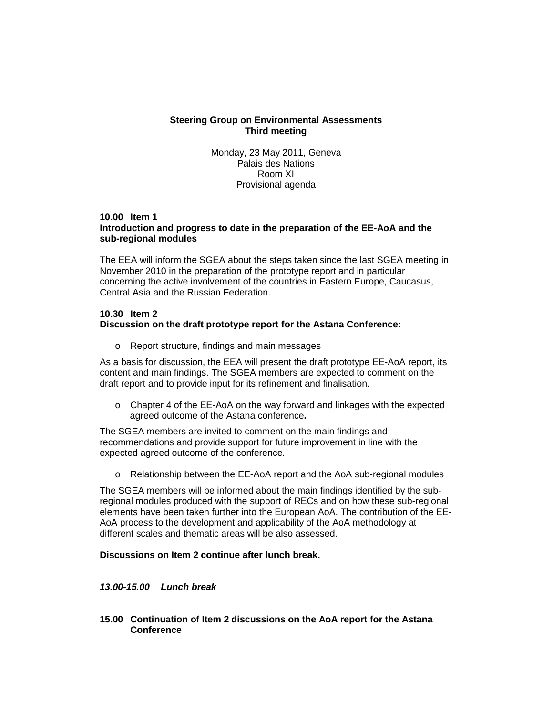## **Steering Group on Environmental Assessments Third meeting**

Monday, 23 May 2011, Geneva Palais des Nations Room XI Provisional agenda

### **10.00 Item 1 Introduction and progress to date in the preparation of the EE-AoA and the sub-regional modules**

The EEA will inform the SGEA about the steps taken since the last SGEA meeting in November 2010 in the preparation of the prototype report and in particular concerning the active involvement of the countries in Eastern Europe, Caucasus, Central Asia and the Russian Federation.

### **10.30 Item 2 Discussion on the draft prototype report for the Astana Conference:**

o Report structure, findings and main messages

As a basis for discussion, the EEA will present the draft prototype EE-AoA report, its content and main findings. The SGEA members are expected to comment on the draft report and to provide input for its refinement and finalisation.

 $\circ$  Chapter 4 of the EE-AoA on the way forward and linkages with the expected agreed outcome of the Astana conference**.**

The SGEA members are invited to comment on the main findings and recommendations and provide support for future improvement in line with the expected agreed outcome of the conference.

o Relationship between the EE-AoA report and the AoA sub-regional modules

The SGEA members will be informed about the main findings identified by the subregional modules produced with the support of RECs and on how these sub-regional elements have been taken further into the European AoA. The contribution of the EE-AoA process to the development and applicability of the AoA methodology at different scales and thematic areas will be also assessed.

### **Discussions on Item 2 continue after lunch break.**

## **13.00-15.00 Lunch break**

**15.00 Continuation of Item 2 discussions on the AoA report for the Astana Conference**